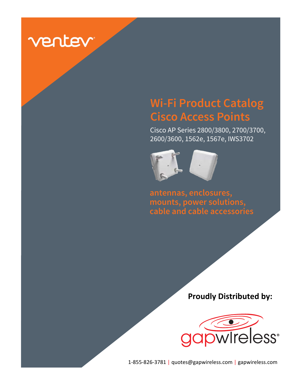

# **Wi-Fi Product Catalog Cisco Access Points**

Cisco AP Series 2800/3800, 2700/3700, 2600/3600, 1562e, 1567e, IWS3702



**antennas, enclosures, mounts, power solutions, cable and cable accessories**

**Proudly Distributed by:**



1-855-826-3781 | quotes@gapwireless.com | gapwireless.com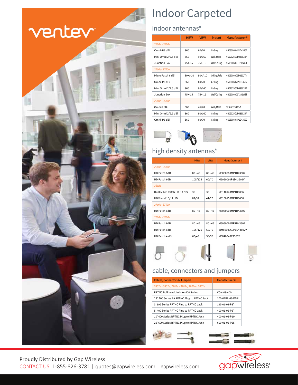# ventev



# Indoor Carpeted

### indoor antennas\*

|                     | <b>HBW</b> | <b>VBW</b> | Mount        | Manufacturer#     |
|---------------------|------------|------------|--------------|-------------------|
| 2800e - 3800e       |            |            |              |                   |
| Omni 4/6 dBi        | 360        | 60/70      | Ceiling      | M6060060MP1D43602 |
| Mini Omni 2/2.5 dBi | 360        | 90/160     | Wall/Mast    | M602025O1D43602RA |
| Junction Box        | $75 + -15$ | $75 + -15$ | Wall/Ceiling | M6050060D37202WST |
| 2700e-3700e         |            |            |              |                   |
| Micro Patch 6 dBi   | $80+/-10$  | $90+/-10$  | Ceiling/Pole | M6060060D3D3602TM |
| Omni 4/6 dBi        | 360        | 60/70      | Ceiling      | M6060060MP1D43602 |
| Mini Omni 2/2.5 dBi | 360        | 90/160     | Ceiling      | M602025O1D43602RA |
| Junction Box        | $75 + -15$ | $75 + -15$ | Wall/Ceiling | M6050060D37202WST |
| 2600e - 3600e       |            |            |              |                   |
| Omni 6 dBi          | 360        | 45/20      | Wall/Mast    | GFN GB35380-2     |
| Mini Omni 2/2.5 dBi | 360        | 90/160     | Ceiling      | M602025O1D43602RA |
| Omni 4/6 dBi        | 360        | 60/70      | Ceiling      | M6060060MP1D43602 |



## high density antennas\*

|                           | <b>HBW</b> | <b>VBW</b> | Manufacturer#      |
|---------------------------|------------|------------|--------------------|
| 2800e - 3800e             |            |            |                    |
| HD Patch 6dBi             | $80 - 45$  | $80 - 45$  | M6060060MP1D43602  |
| HD Patch 6dBi             | 105/125    | 60/70      | M6060060P1D43602V  |
| 3802p                     |            |            |                    |
| Dual MIMO Patch HD 14 dBi | 35         | 35         | M6140140MP1D0006   |
| HD/Panel 10/11 dBi        | 82/32      | 41/20      | M6100110MP1D0006   |
| 2700e-3700e               |            |            |                    |
| HD Patch 6dBi             | $80 - 45$  | $80 - 45$  | M6060060MP1D43602  |
| 2600e - 3600e             |            |            |                    |
| HD Patch 6dBi             | $80 - 45$  | $80 - 45$  | M6060060MP1D43602  |
| HD Patch 6dBi             | 105/125    | 60/70      | WM6060060P1D43602V |
| HD Patch 4 dBi            | 60/45      | 50/35      | M6040040P23602     |

# $\sigma$   $\sigma$   $\phi$

### cable, connectors and jumpers

| <b>Cables, Connectors &amp; Jumpers</b>     | Manufacturer#    |
|---------------------------------------------|------------------|
| 2802e - 3802e, 2702e - 3702e, 2602e - 3602e |                  |
| RPTNC Bulkhead Jack for 400 Series          | $COM-0.3-400$    |
| 18" 100 Series RA RPTNC Plug to RPTNC Jack  | 100-02RA-03-P18L |
| 3' 195 Series RPTNC Plug to RPTNC Jack      | 195-01-02-P3'    |
| 5' 400 Series RPTNC Plug to RPTNC Jack      | 400-01-02-P5'    |
| 10' 400 Series RPTNC Plug to RPTNC Jack     | 400-01-02-P10'   |
| 25' 600 Series RPTNC Plug to RPTNC Jack     | 600-01-02-P25'   |
|                                             |                  |



Proudly Distributed by Gap Wireless CONTACT US: 1-855-826-3781 | quotes@gapwireless.com | gapwireless.com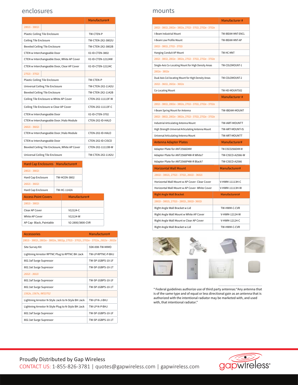#### enclosures mounts

|                                                | Manufacturer#     |
|------------------------------------------------|-------------------|
| 2802i - 3802i                                  |                   |
| Plastic Ceiling Tile Enclosure                 | TW-CTFN-P         |
| Ceiling Tile Enclosure                         | TW-CTFN-2X2-3802U |
| <b>Beveled Ceiling Tile Enclosure</b>          | TW-CTFN-2X2-3802B |
| CTEN w Interchangeable Door                    | V2-ID-CTFN-3802   |
| CTEN w Interchangeable Door, White AP Cover    | V2-ID-CTFN-12124W |
| CTEN w Interchangeable Door, Clear AP Cover    | V2-ID-CTEN-12124C |
| 2702i - 3702i                                  |                   |
| Plastic Ceiling Tile Enclosure                 | TW-CTFN-P         |
| Universal Ceiling Tile Enclosure               | TW-CTEN-2X2-1142U |
| <b>Beveled Ceiling Tile Enclosure</b>          | TW-CTFN-2X2-1142B |
| Ceiling Tile Enclosure w White AP Cover        | CTEN-2X2-11113F-W |
| Ceiling Tile Enclosure w Clear AP Cover        | CTFN-2X2-11113F-C |
| CTEN w Interchangeable Door                    | V2-ID-CTFN-3702   |
| CTEN w Interchangeable Door /Halo Module       | CTEN-2X2-ID-HALO  |
| 2602i - 3602i                                  |                   |
| CTEN w Interchangeable Door /Halo Module       | CTEN-2X2-ID-HALO  |
| CTEN w Interchangeable Door                    | CTEN-2X2-ID-CISCO |
| Beveled Ceiling Tile Enclosure, White AP Cover | CTEN-2X2-11113B-W |
| Universal Ceiling Tile Enclosure               | TW-CTFN-2X2-1142U |

| TW-HC-1142A                |  |                                                                                                                       |
|----------------------------|--|-----------------------------------------------------------------------------------------------------------------------|
| <b>Access Point Covers</b> |  |                                                                                                                       |
|                            |  |                                                                                                                       |
| Clear AP Cover             |  |                                                                                                                       |
| White AP Cover             |  |                                                                                                                       |
| AP Cap-Black, Paintable    |  |                                                                                                                       |
|                            |  | Hard Cap Enclosures Manufacturer#<br><b>TW-HCFN-3802</b><br>Manufacturer#<br>V12124-C<br>V12124-W<br>V2-2800/3800-CVR |

| Accessories                                                                      | Manufacturer#       |  |  |  |
|----------------------------------------------------------------------------------|---------------------|--|--|--|
| 2802i - 3802i, 2802e - 3802e, 3802p, 2702i - 3702i, 2702e - 3702e, 2602e - 3602e |                     |  |  |  |
| Site Survey Kit                                                                  | SSK-008-TW-MIMO     |  |  |  |
| Lightning Arrestor RPTNC Plug to RPTNC BH Jack                                   | TW-I P-RPTNC-P-BH.J |  |  |  |
| 802.3af Surge Supressor                                                          | TW-SP-1GBPS-10-1F   |  |  |  |
| 802.3at Surge Supressor                                                          | TW-SP-1GBPS-10-1T   |  |  |  |
| 2602i - 3602i                                                                    |                     |  |  |  |
| 802.3af Surge Supressor                                                          | TW-SP-1GBPS-10-1F   |  |  |  |
| 802.3at Surge Supressor                                                          | TW-SP-1GBPS-10-1T   |  |  |  |
| 1562e, 1567e, IWS3702                                                            |                     |  |  |  |
| Lightning Arrestor N-Style Jack to N-Style BH Jack                               | TW-I P-N-J-BHJ      |  |  |  |
| Lightning Arrestor N-Style Plug to N-Style BH Jack                               | TW-I P-N-P-BH.J     |  |  |  |
| 802.3af Surge Supressor                                                          | TW-SP-1GBPS-10-1F   |  |  |  |
| 802.3at Surge Supressor                                                          | TW-SP-1GBPS-10-1T   |  |  |  |

|                                                            | Manufacturer#           |
|------------------------------------------------------------|-------------------------|
| 2802i - 3802i, 2802e - 3802e, 2702i - 3702i, 2702e - 3702e |                         |
| I-Beam Industrial Mount                                    | TW-IBEAM-MNT-ENCL       |
| I-Beam Low Profile Mount                                   | TW-IBEAM-MNT-AP         |
| 2802i - 3802i, 2702i - 3702i                               |                         |
| Hanging Conduit AP Mount                                   | TW-HC-MNT               |
| 2802i - 3802i, 2802e - 3802e, 2702i - 3702i, 2702e - 3702e |                         |
| Single-Axis Co-Locating Mount for High Density Areas       | TW-COLOMOUNT-1          |
| 2802e - 3802e                                              |                         |
| Dual-Axis Col-locating Mount for High Density Areas        | TW-COLOMOUNT-2          |
| 2602i - 3602i, 2602e - 3602e                               |                         |
| Co-Locating Mount                                          | TW-HD-MOUNT502          |
|                                                            | Manufacturer#           |
| 2802i - 3802i, 2802e - 3802e, 2702i - 3702i, 2702e - 3702e |                         |
| I-Beam Spring Mount for Antenna                            | TW-IBEAM-MOUNT          |
| 2802i - 3802i, 2802e - 3802e, 2702i - 3702i, 2702e - 3702e |                         |
| Industrial Articulating Antenna Mount                      | TW-IART-MOUNTT          |
| High Strength Universal Articulating Antenna Mount         | TW-ART-MOUNT-IS         |
| Universal Articulating Antenna Mount                       | TW-ART-MOUNTT           |
| <b>Antenna Adapter Plates</b>                              | Manufacturer#           |
| Adapter Plate for ANT2566D4M                               | TW-CISCO2566D4M-W       |
| Adapter Plate for ANT2566P4W-R White?                      | <b>TW-CISCO-A2566-W</b> |
| Adapter Plate for ANT2566P4W-R Black?                      | <b>TW-CISCO-A2566</b>   |
| <b>Horizontal Wall Mount</b>                               | Manufacturer#           |
| 2802i - 3802i, 2702i - 3702i, 2602i - 3602i                |                         |
| Horizontal Wall Mount w AP Cover- Clear Cover              | V-HWM-11113H-C          |
| Horizontal Wall Mount w AP Cover- White Cover              | V-HWM-11113H-W          |
| <b>Right Angle Wall Bracket</b>                            | Manufacturers#          |
| 2802i - 3802i, 2702i - 2802i, 2602i- 3602i                 |                         |
| Right Angle Wall Bracket w Lid                             | TW-HWM-C-CVR            |
| Right Angle Wall Mount w White AP Cover                    | V-HWM-12124-W           |
| Right Angle Wall Mount w Clear AP Cover                    | V-HWM-12124-C           |
| Right Angle Wall Bracket w Lid<br>TW-HWM-C-CVR             |                         |



\* Federal guidelines authorize use of third party antennas:"Any antenna that is of the same type and of equal or less directional gain as an antenna that is authorized with the intentional radiator may be marketed with, and used with, that intentional radiator."

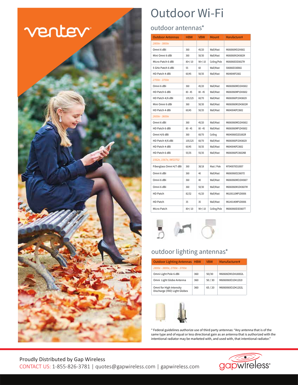

# Outdoor Wi-Fi

#### outdoor antennas\*

| <b>Outdoor Antennas</b> | <b>HBW</b> | <b>VBW</b> | <b>Mount</b> | Manufacturer#     |
|-------------------------|------------|------------|--------------|-------------------|
| 2800e - 3800e           |            |            |              |                   |
| Omni 6 dBi              | 360        | 45/20      | Wall/Mast    | M6060060MO1D43602 |
| Mini Omni 6 dBi         | 360        | 50/30      | Wall/Mast    | M6060060M1D43602M |
| Micro Patch 6 dBi       | $80+/-10$  | $90+/-10$  | Ceiling/Pole | M6060060D3D3602TM |
| 5 GHz Patch 6 dBi       | 55         | 60         | Wall/Mast    | 5060060D336RA02   |
| HD Patch 4 dBi          | 60/45      | 50/35      | Wall/Mast    | M6040040P23602    |
| 2700e - 3700e           |            |            |              |                   |
| Omni 6 dBi              | 360        | 45/20      | Wall/Mast    | M6060060MO1D43602 |
| HD Patch 6 dBi          | $80 - 45$  | $80 - 45$  | Wall/Mast    | M6060060MP1D43602 |
| HD Patch 4/6 dBi        | 105/125    | 60/70      | Wall/Mast    | M6060060P1D43602V |
| Mini Omni 6 dBi         | 360        | 50/30      | Wall/Mast    | M6060060M1D43602M |
| HD Patch 4 dBi          | 60/45      | 50/35      | Wall/Mast    | M6040040P23602    |
| 2600e - 3600e           |            |            |              |                   |
| Omni 6 dBi              | 360        | 45/20      | Wall/Mast    | M6060060MO1D43602 |
| HD Patch 6 dBi          | $80 - 45$  | $80 - 45$  | Wall/Mast    | M6060060MP1D43602 |
| Omni 4/6 dBi            | 360        | 60/70      | Ceiling      | M6040060O2D1802R  |
| HD Patch 4/6 dBi        | 105/125    | 60/70      | Wall/Mast    | M6060060P1D43602V |
| HD Patch 4 dBi          | 60/45      | 50/35      | Wall/Mast    | M6040040P23602    |
| HD Patch 6 dBi          | 55/35      | 55/35      | Wall/Mast    | M6060060P23602NB  |
| 1562e, 1567e, IWS3702   |            |            |              |                   |
| Fiberglass Omni 4/7 dBi | 360        | 38/18      | Mast / Pole  | M7040070O10007    |
| Omni 6 dBi              | 360        | 40         | Wall/Mast    | M6060060O23607O   |
| Omni 6 dBi              | 360        | 40         | Wall/Mast    | M6060060MO1D43607 |
| Omni 6 dBi              | 360        | 50/30      | Wall/Mast    | M6060060M1D43607M |
| HD Patch                | 82/32      | 41/20      | Wall/Mast    | M6100110MP1D0006  |
| HD Patch                | 35         | 35         | Wall/Mast    | M6140140MP1D0006  |
| Micro Patch             | $80+/-10$  | $90+/-10$  | Ceiling/Pole | M6060060D3D3607T  |



## outdoor lighting antennas\*

| <b>Outdoor Lighting Antennas HBW</b>                    |     | <b>VBW</b> | Manufacturer#     |
|---------------------------------------------------------|-----|------------|-------------------|
| 2800e - 3800e, 2700e - 3700e                            |     |            |                   |
| Omni Light Pole 6 dBi                                   | 360 | 50/30      | M60606OM1D418002L |
| Omni Light Globe Antenna                                | 360 | 50/30      | M6060060O1D41202I |
| Omni for High Intensity<br>Discharge (HID) Light Globes | 360 | 65/20      | M6060060O1D41202L |



\* Federal guidelines authorize use of third party antennas: "Any antenna that is of the same type and of equal or less directional gain as an antenna that is authorized with the intentional radiator may be marketed with, and used with, that intentional radiator."

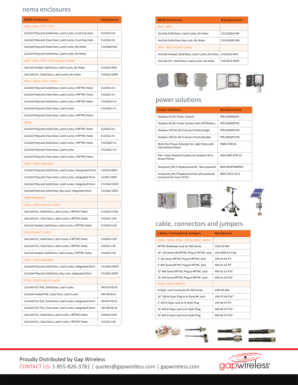#### nema enclosures

| <b>NEMA Enclosures</b>                                     | Manufacturer#   |
|------------------------------------------------------------|-----------------|
| 2802i - 3802i, 2702i - 3702i                               |                 |
| 12x10x5 Polycarb Solid Door, Latch Locks, Cord Grip Hole   | V12105LO-CG     |
| 12x10x5 Polycarb Clear Door, Latch Locks, Cord Grip Hole   | V12105LC-CG     |
| 12x10x6 Polycarb Solid Door, Latch Locks, No Holes         | CV12106LO-NH    |
| 12x10x4 Polycarb Solid Door, Latch Locks, No Holes         |                 |
| 2802i - 3802i, 2702i - 3702i Heated / Cooled               |                 |
| 14x12x6 Heated, Solid Door, Latch Locks, No Holes          | V14126LO-NHH    |
| 14x12x6 H/C, Solid Door, Latch Locks, No Holes             | V14126LO-NHHC   |
| 2802e - 3802e, 2702e - 3702e                               |                 |
| 12x10x5 Polycarb Solid Door, Latch Locks, 4 RPTNC Holes    | V12105LO-4.5    |
| 12x10x5 Polycarb Clear Door, Latch Locks, 4 RPTNC Holes    | V12105LC-4.5    |
| 12x10x6 Polycarb Solid Door, Latch Locks, 4 RPTNC Holes    | CV12106LO-4.5   |
| 12x10x6 Polycarb Clear Door, Latch Locks                   | CV12106LC-4.5   |
| 12x10x4 Polycarb Clear Door, Latch Locks, 4 RPTNC Holes    |                 |
| 3802p                                                      |                 |
| 12x10x5 Polycarb Solid Door, Latch Locks, 4 RPTNC Holes    | V12105LO-4.5    |
| 12x10x5 Polycarb Clear Door, Latch Locks, 4 RPTNC Holes    | V12105LC-4.5    |
| 12x10x6 Polycarb Solid Door, Latch Locks, 4 RPTNC Holes    | CV12106LO-4.5   |
| 12x10x6 Polycarb Clear Door, Latch Locks                   | CV12106LC-4.5   |
| 12x10x4 Polycarb Clear Door, Latch Locks, 4 RPTNC Holes    |                 |
| 2802e - 3802e Integrated                                   |                 |
| 12x10x5 Polycarb Solid Door, Latch Locks, Intergrated Omni | V12105LO-ODO4T  |
| 12x10x5 Polycarb Clear Door, Latch Locks, Integrated Omni  | V12105LC-ODO4T  |
| 12x10x6 Polycarb Solid Door, Latch Locks, Integrated Omni  | CV12106LO-ODO4T |
| 12x10x6 Polycarb Solid Door, Key Lock, Integrated Omni     | CV12106LC-ODO4T |
| 3802p Intergrated                                          |                 |
| 2802e - 3802e Heated / Cooled                              |                 |
| 14x12x6 H/C, Solid Door, Latch Locks, 4 RPTNC Holes        | V14126LO-4.5HC  |
| 14x12x6 H/C, Clear Door, Latch Locks, 4 RPTNC Holes        | V14126LC-4.5H   |
| 14x12x6 Heated, Solid Door, Latch Locks, 4 RPTNC Holes     | V14126LO-4.5H   |
| 3802p Heated / Cooled                                      |                 |
| 14x12x6 H/C, Solid Door, Latch Locks, 4 RPTNC Holes        | V14126LO-4.5HC  |
| 14x12x6 H/C, Clear Door, Latch Locks, 4 RPTNC Holes        | V14126LC-4.5H   |
| 14x12x6 Heated, Solid Door, Latch Locks, 4 RPTNC Holes     | V14126LO-4.5H   |
| 2702e - 3702e Integrated                                   |                 |
| 12x10x6 Polycarb Solid Door, Latch Locks, Integrated Omni  | CV12106LO-ODO4T |
| 12x10x6 Polycarb Solid Door, Key Lock, Integrated Omni     | CV12106LC-ODO4T |
| 2702e - 3702e Heated / Cooled                              |                 |
| 12x10x6 H/C PoE, Solid Door, Latch Locks                   | VNV-OUT3702-AC  |
| 12x10x6 Heated PoE, Clear Door, Latch Locks                | VNV-CB3702-AC   |
| 12x10x6 H/C PoE, Solid Door, Latch Locks, Integrated Omni  | VNV-ANT3702-AC  |
| 12x10x6 H/C PoE, Clear Door, Latch Locks, Integrated Omni  | VNV-CBA3702-AC  |
| 14x12x6 H/C, Solid Door, Latch Locks, 4 RPTNC Holes        | V14126LO-4.5HC  |
| 14x12x6 H/C, Clear Door, Latch Locks, 4 RPTNC Holes        | V14126LC-4.5H   |

| <b>NEMA Enclosures</b>                            | Manufacturer# |
|---------------------------------------------------|---------------|
| 2602i - 3602i                                     |               |
| 12x10x6 Solid Door, Latch Locks, No Holes         | CV12106LO-NH  |
| 14x12x6 Solid Door, Key Lock, No Holes            | CV14126KO-NH  |
| 2602i - 3602i Heated / Cooled                     |               |
| 14x12x6 Heated, Solid Door, Latch Locks, No Holes | V14126I O-NHH |
| 14x12x6 H/C, Solid Door, Latch Locks, No Holes    | V14126LO-NHHC |



#### power solutions

| <b>Power Solutions</b>                                                      | Manufacturer#         |
|-----------------------------------------------------------------------------|-----------------------|
| Outdoor AC/DC Power System                                                  | VPF1260000000         |
| Outdoor AC/DC Power System with UPS Battery                                 | VPF1260000700         |
| Outdoor UPS for Wi-Fi Access Points/Single                                  | VPF12600P0700         |
| Outdoor UPS for Wi-Fi Access Points/Double                                  | VPF12602P1700         |
| Multi-Port Power Extender for Light Poles with<br><b>Intermittent Power</b> | PWR-XTDR-HI           |
| PoE+ Solar Powered System for Outdoor Wi-Fi<br><b>Access Points</b>         | VS04-WIFI-POF-01      |
| Temporary Wi-Fi Deployment Kit - Non powered                                | RDK-NONPOWERV1        |
| Temporary Wi-Fi Deployment Kit with powered<br>enclosure for Cisco 1572e    | <b>RDK-CISCO-1572</b> |



### cable, connectors and jumpers

| <b>Cables, Connectors &amp; Jumpers</b>     | Manufacturer#    |
|---------------------------------------------|------------------|
| 2802e - 3802e, 2702e - 3702e, 2602e - 3602e |                  |
| RPTNC Bulkhead Jack for 400 Series          | $COM-0.3-400$    |
| 18" 100 Series RA RPTNC Plug to RPTNC Jack  | 100-02RA-03-P18L |
| 3' 195 Series RPTNC Plug to RPTNC Jack      | 195-01-02-P3'    |
| 5' 400 Series RPTNC Plug to RPTNC Jack      | 400-01-02-P5'    |
| 10' 400 Series RPTNC Plug to RPTNC Jack     | 400-01-02-P10'   |
| 25' 600 Series RPTNC Plug to RPTNC Jack     | 600-01-02-P25'   |
| 1562e, 1567e, IWS3702                       |                  |
| N-Style Jack Connector for 400 Series       | $CON-06-400$     |
| 18" 100 N-Style Plug to N-Style BH Jack     | 100-07-08-P18"   |
| 3' 195 N-Style Jack to N-Style Plug         | 195-06-07-P3'    |
| 10' 400 N-Style Jack to N-Style Plug        | 400-06-07-P10'   |
| 25' 600 N-Style Jack to N-Style Plug        | 600-06-07-P25'   |



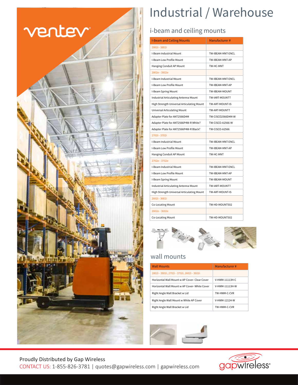

# Industrial / Warehouse

### i-beam and ceiling mounts

| <b>I-Beam and Ceiling Mounts</b>           | Manufacturer#           |
|--------------------------------------------|-------------------------|
| 2802i - 3802i                              |                         |
| I-Beam Industrial Mount                    | TW-IBEAM-MNT-ENCL       |
| I-Beam Low Profile Mount                   | TW-IBEAM-MNT-AP         |
| Hanging Conduit AP Mount                   | TW-HC-MNT               |
| 2802e - 3802e                              |                         |
| I-Beam Industrial Mount                    | TW-IBFAM-MNT-FNCL       |
| I-Beam Low Profile Mount                   | TW-IBEAM-MNT-AP         |
| I-Beam Spring Mount                        | TW-IBEAM-MOUNT          |
| Industrial Articulating Antenna Mount      | TW-IART-MOUNTT          |
| High Strength Universal Articulating Mount | TW-ART-MOUNT-IS         |
| <b>Universal Articulating Mount</b>        | TW-ART-MOUNTT           |
| Adapter Plate for ANT2566D4M               | TW-CISCO2566D4M-W       |
| Adapter Plate for ANT2566P4W-R White?      | <b>TW-CISCO-A2566-W</b> |
| Adapter Plate for ANT2566P4W-R Black?      | <b>TW-CISCO-A2566</b>   |
| 2702i - 3702i                              |                         |
| I-Beam Industrial Mount                    | TW-IBFAM-MNT-FNCL       |
| I-Beam Low Profile Mount                   | TW-IBEAM-MNT-AP         |
| Hanging Conduit AP Mount                   | TW-HC-MNT               |
| 2702e - 3702e                              |                         |
| I-Beam Industrial Mount                    | TW-IBFAM-MNT-FNCL       |
| I-Beam Low Profile Mount                   | TW-IBFAM-MNT-AP         |
| I-Beam Spring Mount                        | TW-IBEAM-MOUNT          |
| Industrial Articulating Antenna Mount      | TW-IART-MOUNTT          |
| High Strength Universal Articulating Mount | TW-ART-MOUNT-IS         |
| 2602i - 3602i                              |                         |
| Co-Locating Mount                          | TW-HD-MOUNT502          |
| 2602e - 3602e                              |                         |
| <b>Co-Locating Mount</b>                   | TW-HD-MOUNT502          |



#### wall mounts

| <b>Wall Mounts</b>                           | Manufacturer#  |
|----------------------------------------------|----------------|
| 2802i - 3802i, 2702i - 3702i, 2602i - 3602i  |                |
| Horizontal Wall Mount w AP Cover-Clear Cover | V-HWM-11113H-C |
| Horizontal Wall Mount w AP Cover-White Cover | V-HWM-11113H-W |
| Right Angle Wall Bracket w Lid               | TW-HWM-C-CVR   |
| Right Angle Wall Mount w White AP Cover      | V-HWM-12124-W  |
| Right Angle Wall Bracket w Lid               | TW-HWM-C-CVR   |



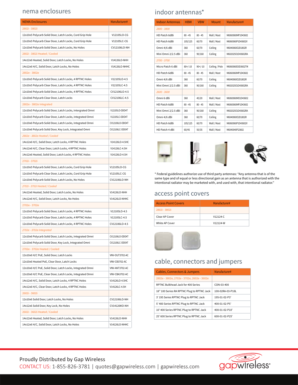#### nema enclosures indoor antennas<sup>\*</sup>

| <b>NEMA Enclosures</b>                                     | Manufacturer#   |
|------------------------------------------------------------|-----------------|
| 2802i - 3802i                                              |                 |
| 12x10x5 Polycarb Solid Door, Latch Locks, Cord Grip Hole   | V12105LO-CG     |
| 12x10x5 Polycarb Clear Door, Latch Locks, Cord Grip Hole   | V12105LC-CG     |
| 12x10x6 Polycarb Solid Door, Latch Locks, No Holes         | CV12106LO-NH    |
| 2802i - 3802i Heated / Cooled                              |                 |
| 14x12x6 Heated, Solid Door, Latch Locks, No Holes          | V14126LO-NHH    |
| 14x12x6 H/C, Solid Door, Latch Locks, No Holes             | V14126LO-NHHC   |
| 2802e - 3802e                                              |                 |
| 12x10x5 Polycarb Solid Door, Latch Locks, 4 RPTNC Holes    | V12105LO-4.5    |
| 12x10x5 Polycarb Clear Door, Latch Locks, 4 RPTNC Holes    | V12105LC-4.5    |
| 12x10x6 Polycarb Solid Door, Latch Locks, 4 RPTNC Holes    | CV12106LO-4.5   |
| 12x10x6 Polycarb Clear Door, Latch Locks                   | CV12106LC-4.5   |
| 2802e - 3802e Integrated                                   |                 |
| 12x10x5 Polycarb Solid Door, Latch Locks, Intergrated Omni | V12105LO-ODO4T  |
| 12x10x5 Polycarb Clear Door, Latch Locks, Integrated Omni  | V12105LC-ODO4T  |
| 12x10x6 Polycarb Solid Door, Latch Locks, Integrated Omni  | CV12106LO-ODO4T |
| 12x10x6 Polycarb Solid Door, Key Lock, Integrated Omni     | CV12106LC-ODO4T |
| 2802e - 3802e Heated / Cooled                              |                 |
| 14x12x6 H/C, Solid Door, Latch Locks, 4 RPTNC Holes        | V14126LO-4.5HC  |
| 14x12x6 H/C, Clear Door, Latch Locks, 4 RPTNC Holes        | V14126LC-4.5H   |
| 14x12x6 Heated, Solid Door, Latch Locks, 4 RPTNC Holes     | V14126LO-4.5H   |
| 2702i - 3702i                                              |                 |
| 12x10x5 Polycarb Solid Door, Latch Locks, Cord Grip Hole   | V12105LO-CG     |
| 12x10x5 Polycarb Clear Door, Latch Locks, Cord Grip Hole   | V12105LC-CG     |
| 12x10x6 Polycarb Solid Door, Latch Locks, No Holes         | CV12106LO-NH    |
| 2702i - 3702i Heated / Cooled                              |                 |
| 14x12x6 Heated, Solid Door, Latch Locks, No Holes          | V14126LO-NHH    |
| 14x12x6 H/C, Solid Door, Latch Locks, No Holes             | V14126LO-NHHC   |
| 2702e - 3702e                                              |                 |
| 12x10x5 Polycarb Solid Door, Latch Locks, 4 RPTNC Holes    | V12105LO-4.5    |
| 12x10x5 Polycarb Clear Door, Latch Locks, 4 RPTNC Holes    | V12105LC-4.5    |
| 12x10x6 Polycarb Solid Door, Latch Locks, 4 RPTNC Holes    | CV12106LO-4.5   |
| 2702e - 3702e Integrated                                   |                 |
| 12x10x6 Polycarb Solid Door, Latch Locks, Integrated Omni  | CV12106LO-ODO4T |
| 12x10x6 Polycarb Solid Door, Key Lock, Integrated Omni     | CV12106LC-ODO4T |
| 2702e - 3702e Heated / Cooled                              |                 |
| 12x10x6 H/C PoE, Solid Door, Latch Locks                   | VNV-OUT3702-AC  |
| 12x10x6 Heated PoE, Clear Door, Latch Locks                | VNV-CB3702-AC   |
| 12x10x6 H/C PoE, Solid Door, Latch Locks, Integrated Omni  | VNV-ANT3702-AC  |
| 12x10x6 H/C PoE, Clear Door, Latch Locks, Integrated Omni  | VNV-CBA3702-AC  |
| 14x12x6 H/C, Solid Door, Latch Locks, 4 RPTNC Holes        | V14126LO-4.5HC  |
| 14x12x6 H/C, Clear Door, Latch Locks, 4 RPTNC Holes        | V14126LC-4.5H   |
| 2602i - 3602i                                              |                 |
| 12x10x6 Solid Door, Latch Locks, No Holes                  | CV12106LO-NH    |
| 14x12x6 Solid Door, Key Lock, No Holes                     | CV14126KO-NH    |
| 2602i - 3602i Heated / Cooled                              |                 |
| 14x12x6 Heated, Solid Door, Latch Locks, No Holes          | V14126LO-NHH    |
| 14x12x6 H/C, Solid Door, Latch Locks, No Holes             | V14126LO-NHHC   |

| <b>Indoor Antennas</b> | <b>HRW</b> | <b>VBW</b> | Mount          | Manufacturer#     |
|------------------------|------------|------------|----------------|-------------------|
| 2800 - 3800            |            |            |                |                   |
| HD Patch 6dBi          | $80 - 45$  | $80 - 45$  | Wall / Mast    | M6060060MP1D43602 |
| HD Patch 6dBi          | 105/125    | 60/70      | Wall / Mast    | M6060060P1D43602V |
| Omni 4/6 dBi           | 360        | 60/70      | Ceiling        | M6040060O2D1802R  |
| Mini Omni 2/2.5 dBi    | 360        | 90/160     | Ceiling        | M602025O1D43602RA |
| 2700 - 3700            |            |            |                |                   |
| Micro Patch 6 dBi      | $80+/-10$  | $90+/-10$  | Ceiling / Pole | M6060060D3D3602TM |
| HD Patch 6dBi          | $80 - 45$  | $80 - 45$  | Wall / Mast    | M6060060MP1D43602 |
| Omni 4/6 dBi           | 360        | 60/70      | Ceiling        | M6040060O2D1802R  |
| Mini Omni 2/2.5 dBi    | 360        | 90/160     | Ceiling        | M602025O1D43602RA |
| 2600 - 3600            |            |            |                |                   |
| Omni 6 dBi             | 360        | 45/20      | Wall / Mast    | M6060060MO1D43602 |
| HD Patch 6dBi          | $80 - 45$  | $80 - 45$  | Wall / Mast    | M6060060MP1D43602 |
| Mini Omni 2/2.5 dBi    | 360        | 90/160     | Ceiling        | M602025O1D43602RA |
| Omni 4/6 dBi           | 360        | 60/70      | Ceiling        | M6040060O2D1802R  |
| HD Patch 6dBi          | 105/125    | 60/70      | Wall / Mast    | M6060060P1D43602V |
| HD Patch 4 dBi         | 60/45      | 50/35      | Wall / Mast    | M6040040P23602    |





\* Federal guidelines authorize use of third party antennas: "Any antenna that is of the same type and of equal or less directional gain as an antenna that is authorized with the intentional radiator may be marketed with, and used with, that intentional radiator."

#### access point covers

| <b>Access Point Covers</b> | Manufacturer# |
|----------------------------|---------------|
| 2802i - 3802i              |               |
| Clear AP Cover             | $V12124-C$    |
| White AP Cover             | V12124-W      |



#### cable, connectors and jumpers

| <b>Cables, Connectors &amp; Jumpers</b>     | Manufacturer#    |
|---------------------------------------------|------------------|
| 2802e - 3802e, 2702e - 3702e, 2602e - 3602e |                  |
| RPTNC Bulkhead Jack for 400 Series          | $COM-0.3-400$    |
| 18" 100 Series RA RPTNC Plug to RPTNC Jack  | 100-02RA-03-P18L |
| 3' 195 Series RPTNC Plug to RPTNC Jack      | 195-01-02-P3'    |
| 5' 400 Series RPTNC Plug to RPTNC Jack      | 400-01-02-P5'    |
| 10' 400 Series RPTNC Plug to RPTNC Jack     | 400-01-02-P10'   |
| 25' 600 Series RPTNC Plug to RPTNC Jack     | 600-01-02-P25'   |

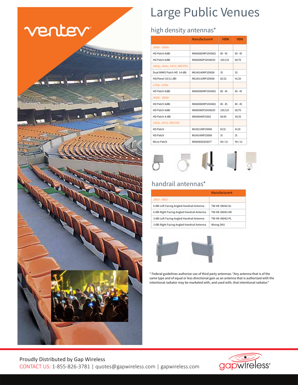

# Large Public Venues

## high density antennas\*

|                              | Manufacturer#     | <b>HBW</b> | <b>VBW</b> |
|------------------------------|-------------------|------------|------------|
| 2800e - 3800e                |                   |            |            |
| HD Patch 6dBi                | M6060060MP1D43602 | $80 - 45$  | $80 - 45$  |
| HD Patch 6dBi                | M6060060P1D43602V | 105/125    | 60/70      |
| 3802p, 1562e, 1567e, IWS3702 |                   |            |            |
| Dual MIMO Patch HD 14 dBi    | M6140140MP1D0006  | 35         | 35         |
| HD/Panel 10/11 dBi           | M6100110MP1D0006  | 82/32      | 41/20      |
| 2700e-3700e                  |                   |            |            |
| HD Patch 6dBi                | M6060060MP1D43602 | $80 - 45$  | $80 - 45$  |
| 2600e - 3600e                |                   |            |            |
| HD Patch 6dBi                | M6060060MP1D43602 | $80 - 45$  | $80 - 45$  |
| HD Patch 6dBi                | M6060060P1D43602V | 105/125    | 60/70      |
| HD Patch 4 dBi               | M6040040P23602    | 60/45      | 50/35      |
| 1562e, 1567e, IWS3702        |                   |            |            |
| HD Patch                     | M6100110MP1D0006  | 82/32      | 41/20      |
| HD Patch                     | M6140140MP1D0006  | 35         | 35         |
| Micro Patch                  | M6060060D3D3607T  | $80+/-10$  | $90+/-10$  |



## handrail antennas\*

|                                            | Manufacturer#  |
|--------------------------------------------|----------------|
| 2802i - 3802i                              |                |
| 6 dBi Left Facing Angled Handrail Antenna  | TW-HF-06042-6L |
| 6 dBi Right Facing Angled Handrail Antenna | TW-HE-06042-6R |
| 3 dBi Left Facing Angled Handrail Antenna  | TW-HF-06042-PI |
| 3 dBi Right Facing Angled Handrail Antenna | Wrong SKU      |



\* Federal guidelines authorize use of third party antennas: "Any antenna that is of the same type and of equal or less directional gain as an antenna that is authorized with the intentional radiator may be marketed with, and used with, that intentional radiator."



#### Proudly Distributed by Gap Wireless CONTACT US: 1-855-826-3781 | quotes@gapwireless.com | gapwireless.com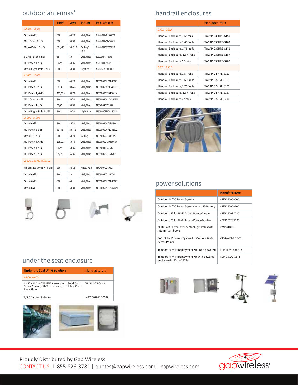|                         | <b>HBW</b> | <b>VBW</b> | Mount            | Manufacturer#     |
|-------------------------|------------|------------|------------------|-------------------|
| 2800e - 3800e           |            |            |                  |                   |
| Omni 6 dBi              | 360        | 45/20      | Wall/Mast        | M6060060MO1D43602 |
| Mini Omni 6 dBi         | 360        | 50/30      | Wall/Mast        | M6060060M1D43602M |
| Micro Patch 6 dBi       | $80+/-10$  | $90+/-10$  | Ceiling/<br>Pole | M6060060D3D3602TM |
| 5 GHz Patch 6 dBi       | 55         | 60         | Wall/Mast        | 5060060D336RA02   |
| HD Patch 4 dBi          | 60/45      | 50/35      | Wall/Mast        | M6040040P23602    |
| Omni Light Pole 6 dBi   | 360        | 50/30      | Light Pole       | M60606OM1D418002L |
| 2700e - 3700e           |            |            |                  |                   |
| Omni 6 dBi              | 360        | 45/20      | Wall/Mast        | M6060060MO1D43602 |
| HD Patch 6 dBi          | $80 - 45$  | $80 - 45$  | Wall/Mast        | M6060060MP1D43602 |
| HD Patch 4/6 dBi        | 105/125    | 60/70      | Wall/Mast        | M6060060P1D43602V |
| Mini Omni 6 dBi         | 360        | 50/30      | Wall/Mast        | M6060060M1D43602M |
| HD Patch 4 dBi          | 60/45      | 50/35      | Wall/Mast        | M6040040P23602    |
| Omni Light Pole 6 dBi   | 360        | 50/30      | Light Pole       | M60606OM1D418002L |
| 2600e - 3600e           |            |            |                  |                   |
| Omni 6 dBi              | 360        | 45/20      | Wall/Mast        | M6060060MO1D43602 |
| HD Patch 6 dBi          | $80 - 45$  | $80 - 45$  | Wall/Mast        | M6060060MP1D43602 |
| Omni 4/6 dBi            | 360        | 60/70      | Ceiling          | M6040060O2D1802R  |
| HD Patch 4/6 dBi        | 105/125    | 60/70      | Wall/Mast        | M6060060P1D43602V |
| HD Patch 4 dBi          | 60/45      | 50/35      | Wall/Mast        | M6040040P23602    |
| HD Patch 6 dBi          | 55/35      | 55/35      | Wall/Mast        | M6060060P23602NB  |
| 1562e, 1567e, IWS3702   |            |            |                  |                   |
| Fiberglass Omni 4/7 dBi | 360        | 38/18      | Mast / Pole      | M7040070O10007    |
| Omni 6 dBi              | 360        | 40         | Wall/Mast        | M60600600236070   |
| Omni 6 dBi              | 360        | 40         | Wall/Mast        | M6060060MO1D43607 |
| Omni 6 dBi              | 360        | 50/30      | Wall/Mast        | M6060060M1D43607M |









### outdoor antennas<sup>\*</sup> handrail enclosures

|                                 | Manufacturer#     |
|---------------------------------|-------------------|
| 2802i - 3802i                   |                   |
| Handrail Enclosure, 1.5" rails  | TW2AP-C38HRF-S150 |
| Handrail Enclosure, 1.63" rails | TW2AP-C38HRF-S163 |
| Handrail Enclosure, 1.75" rails | TW2AP-C38HRF-S175 |
| Handrail Enclosure, 1.87" rails | TW2AP-C38HRF-S187 |
| Handrail Enclosure, 2" rails    | TW2AP-C38HRF-S200 |
| 2802i - 3802i                   |                   |
| Handrail Enclosure, 1.5" rails  | TW2AP-CISHRF-S150 |
| Handrail Enclosure, 1.63" rails | TW2AP-CISHRF-S163 |
| Handrail Enclosure, 1.75" rails | TW2AP-CISHRF-S175 |
| Handrail Enclosure, 1.87" rails | TW2AP-CISHRF-S187 |
| Handrail Enclosure, 2" rails    | TW2AP-CISHRF-S200 |



### power solutions

|                                                                             | Manufacturer#    |
|-----------------------------------------------------------------------------|------------------|
| Outdoor AC/DC Power System                                                  | VPF1260000000    |
| Outdoor AC/DC Power System with UPS Battery                                 | VPF1260000700    |
| Outdoor UPS for Wi-Fi Access Points/Single                                  | VPF12600P0700    |
| Outdoor UPS for Wi-Fi Access Points/Double                                  | VPF12602P1700    |
| Multi-Port Power Extender for Light Poles with<br><b>Intermittent Power</b> | PWR-XTDR-HI      |
| PoE+ Solar Powered System for Outdoor Wi-Fi<br><b>Access Points</b>         | VS04-WIFI-POF-01 |
| Temporary Wi-Fi Deployment Kit - Non powered                                | RDK-NONPOWERV1   |
| Temporary Wi-Fi Deployment Kit with powered<br>enclosure for Cisco 1572e    | RDK-CISCO-1572   |









#### under the seat enclosure

| Under the Seat Wi-Fi Solution                                                                                            | Manufacturer#   |
|--------------------------------------------------------------------------------------------------------------------------|-----------------|
| All Cisco APs                                                                                                            |                 |
| 112" x 10" x 4" Wi-Fi Enclosure with Solid Door,<br>Screw Cover (with Torx screws), No Holes, Cisco<br><b>Back Plate</b> | V12104-TS-O-NH  |
| 2/3.5 Bantam Antenna                                                                                                     | M6020020R1D0002 |